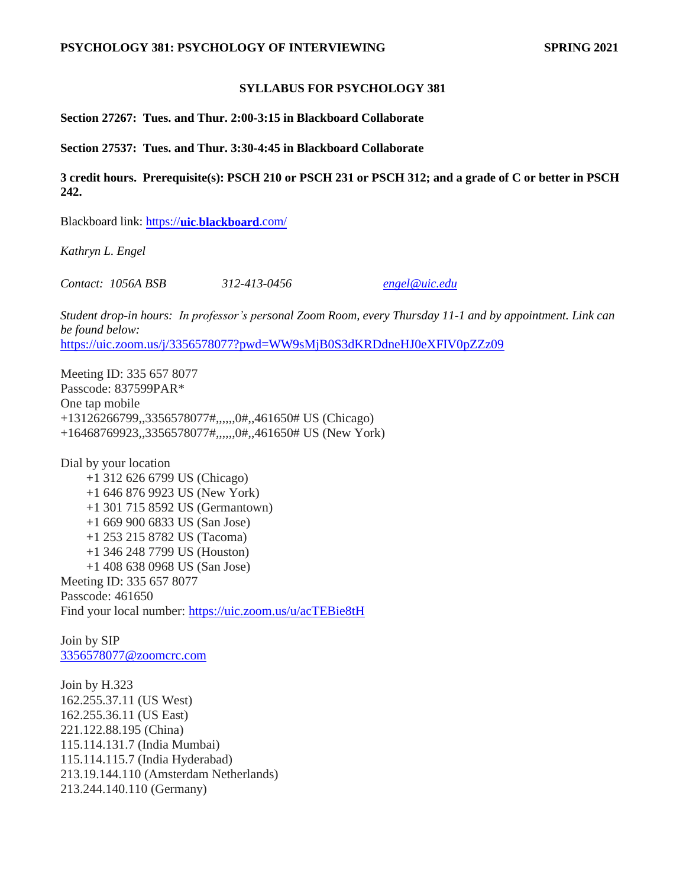#### **SYLLABUS FOR PSYCHOLOGY 381**

**Section 27267: Tues. and Thur. 2:00-3:15 in Blackboard Collaborate**

**Section 27537: Tues. and Thur. 3:30-4:45 in Blackboard Collaborate**

**3 credit hours. Prerequisite(s): PSCH 210 or PSCH 231 or PSCH 312; and a grade of C or better in PSCH 242.** 

Blackboard link: [https://](https://uic.blackboard.com/)**[uic](https://uic.blackboard.com/)**[.](https://uic.blackboard.com/)**[blackboard](https://uic.blackboard.com/)**[.com/](https://uic.blackboard.com/)

*Kathryn L. Engel* 

*Contact: 1056A BSB 312-413-0456 [engel@uic.edu](mailto:engel@uic.edu)*

*Student drop-in hours: In professor's personal Zoom Room, every Thursday 11-1 and by appointment. Link can be found below:* <https://uic.zoom.us/j/3356578077?pwd=WW9sMjB0S3dKRDdneHJ0eXFIV0pZZz09>

Meeting ID: 335 657 8077 Passcode: 837599PAR\* One tap mobile +13126266799,,3356578077#,,,,,,0#,,461650# US (Chicago) +16468769923,,3356578077#,,,,,,0#,,461650# US (New York)

Dial by your location +1 312 626 6799 US (Chicago) +1 646 876 9923 US (New York) +1 301 715 8592 US (Germantown) +1 669 900 6833 US (San Jose) +1 253 215 8782 US (Tacoma) +1 346 248 7799 US (Houston) +1 408 638 0968 US (San Jose) Meeting ID: 335 657 8077 Passcode: 461650 Find your local number: <https://uic.zoom.us/u/acTEBie8tH>

Join by SIP [3356578077@zoomcrc.com](mailto:3356578077@zoomcrc.com)

Join by H.323 162.255.37.11 (US West) 162.255.36.11 (US East) 221.122.88.195 (China) 115.114.131.7 (India Mumbai) 115.114.115.7 (India Hyderabad) 213.19.144.110 (Amsterdam Netherlands) 213.244.140.110 (Germany)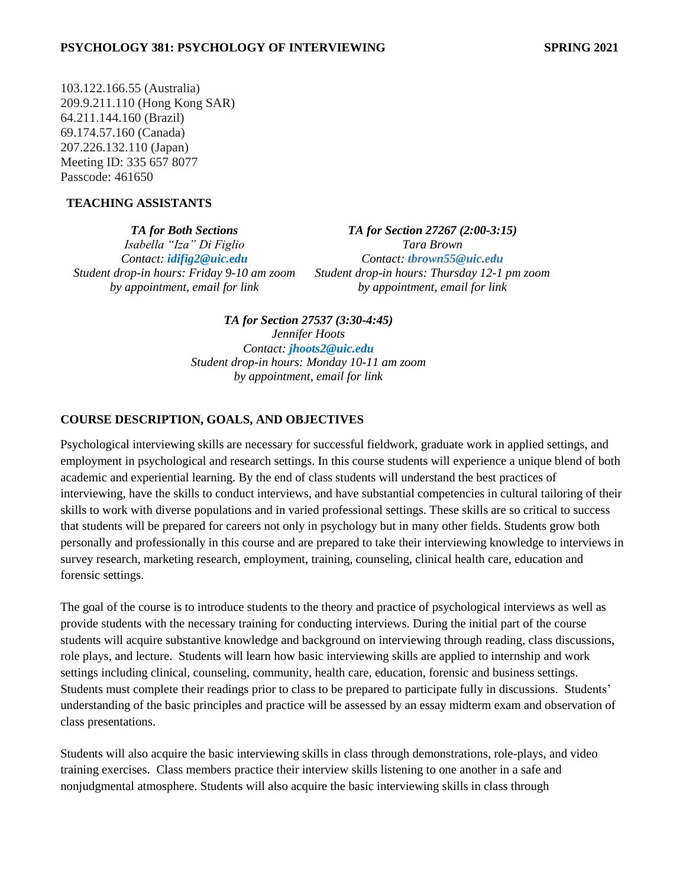103.122.166.55 (Australia) 209.9.211.110 (Hong Kong SAR) 64.211.144.160 (Brazil) 69.174.57.160 (Canada) 207.226.132.110 (Japan) Meeting ID: 335 657 8077 Passcode: 461650

# **TEACHING ASSISTANTS**

*TA for Both Sections Isabella "Iza" Di Figlio Contact: idifig2@uic.edu Student drop-in hours: Friday 9-10 am zoom by appointment, email for link*

*TA for Section 27267 (2:00-3:15) Tara Brown Contact: tbrown55@uic.edu Student drop-in hours: Thursday 12-1 pm zoom by appointment, email for link*

*TA for Section 27537 (3:30-4:45) Jennifer Hoots Contact: [jhoots2@uic.edu](mailto:jhoots2@uic.edu) Student drop-in hours: Monday 10-11 am zoom by appointment, email for link*

# **COURSE DESCRIPTION, GOALS, AND OBJECTIVES**

Psychological interviewing skills are necessary for successful fieldwork, graduate work in applied settings, and employment in psychological and research settings. In this course students will experience a unique blend of both academic and experiential learning. By the end of class students will understand the best practices of interviewing, have the skills to conduct interviews, and have substantial competencies in cultural tailoring of their skills to work with diverse populations and in varied professional settings. These skills are so critical to success that students will be prepared for careers not only in psychology but in many other fields. Students grow both personally and professionally in this course and are prepared to take their interviewing knowledge to interviews in survey research, marketing research, employment, training, counseling, clinical health care, education and forensic settings.

The goal of the course is to introduce students to the theory and practice of psychological interviews as well as provide students with the necessary training for conducting interviews. During the initial part of the course students will acquire substantive knowledge and background on interviewing through reading, class discussions, role plays, and lecture. Students will learn how basic interviewing skills are applied to internship and work settings including clinical, counseling, community, health care, education, forensic and business settings. Students must complete their readings prior to class to be prepared to participate fully in discussions. Students' understanding of the basic principles and practice will be assessed by an essay midterm exam and observation of class presentations.

Students will also acquire the basic interviewing skills in class through demonstrations, role-plays, and video training exercises. Class members practice their interview skills listening to one another in a safe and nonjudgmental atmosphere. Students will also acquire the basic interviewing skills in class through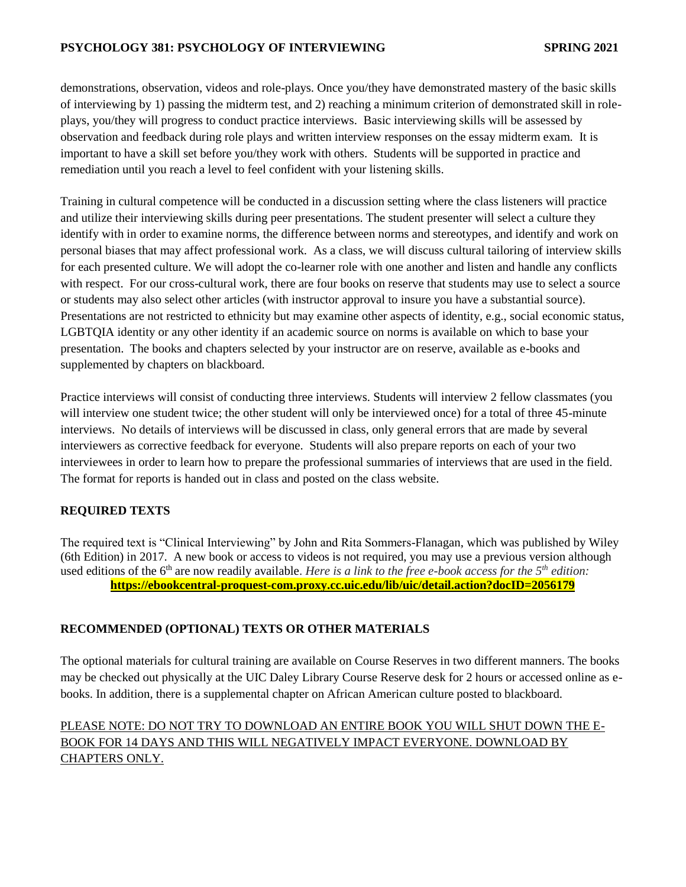demonstrations, observation, videos and role-plays. Once you/they have demonstrated mastery of the basic skills of interviewing by 1) passing the midterm test, and 2) reaching a minimum criterion of demonstrated skill in roleplays, you/they will progress to conduct practice interviews. Basic interviewing skills will be assessed by observation and feedback during role plays and written interview responses on the essay midterm exam. It is important to have a skill set before you/they work with others. Students will be supported in practice and remediation until you reach a level to feel confident with your listening skills.

Training in cultural competence will be conducted in a discussion setting where the class listeners will practice and utilize their interviewing skills during peer presentations. The student presenter will select a culture they identify with in order to examine norms, the difference between norms and stereotypes, and identify and work on personal biases that may affect professional work. As a class, we will discuss cultural tailoring of interview skills for each presented culture. We will adopt the co-learner role with one another and listen and handle any conflicts with respect. For our cross-cultural work, there are four books on reserve that students may use to select a source or students may also select other articles (with instructor approval to insure you have a substantial source). Presentations are not restricted to ethnicity but may examine other aspects of identity, e.g., social economic status, LGBTQIA identity or any other identity if an academic source on norms is available on which to base your presentation. The books and chapters selected by your instructor are on reserve, available as e-books and supplemented by chapters on blackboard.

Practice interviews will consist of conducting three interviews. Students will interview 2 fellow classmates (you will interview one student twice; the other student will only be interviewed once) for a total of three 45-minute interviews. No details of interviews will be discussed in class, only general errors that are made by several interviewers as corrective feedback for everyone. Students will also prepare reports on each of your two interviewees in order to learn how to prepare the professional summaries of interviews that are used in the field. The format for reports is handed out in class and posted on the class website.

# **REQUIRED TEXTS**

The required text is "Clinical Interviewing" by John and Rita Sommers-Flanagan, which was published by Wiley (6th Edition) in 2017. A new book or access to videos is not required, you may use a previous version although used editions of the 6<sup>th</sup> are now readily available. *Here is a link to the free e-book access for the 5<sup>th</sup> edition:* **<https://ebookcentral-proquest-com.proxy.cc.uic.edu/lib/uic/detail.action?docID=2056179>**

# **RECOMMENDED (OPTIONAL) TEXTS OR OTHER MATERIALS**

The optional materials for cultural training are available on Course Reserves in two different manners. The books may be checked out physically at the UIC Daley Library Course Reserve desk for 2 hours or accessed online as ebooks. In addition, there is a supplemental chapter on African American culture posted to blackboard.

# PLEASE NOTE: DO NOT TRY TO DOWNLOAD AN ENTIRE BOOK YOU WILL SHUT DOWN THE E-BOOK FOR 14 DAYS AND THIS WILL NEGATIVELY IMPACT EVERYONE. DOWNLOAD BY CHAPTERS ONLY.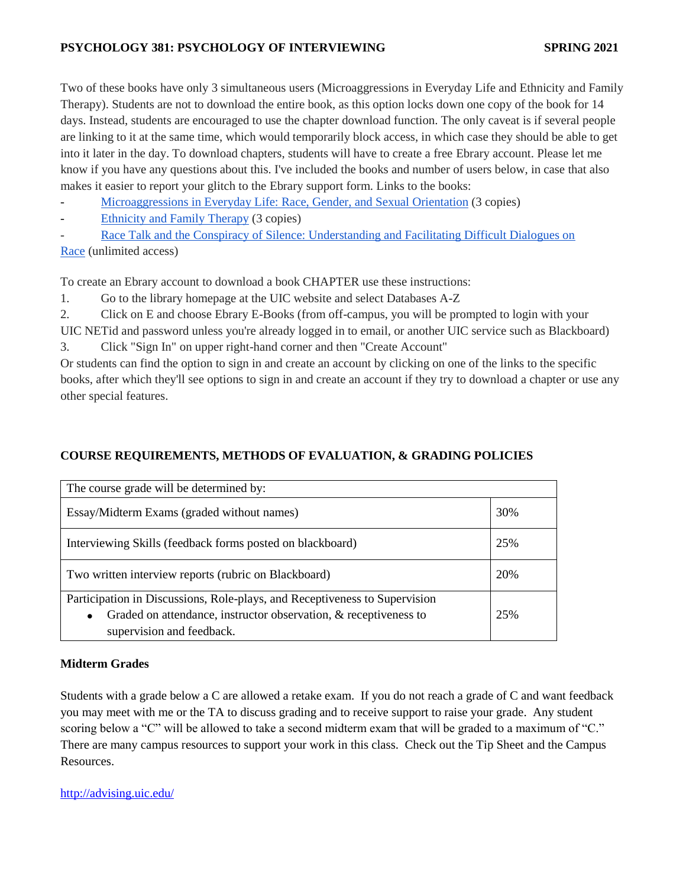Two of these books have only 3 simultaneous users (Microaggressions in Everyday Life and Ethnicity and Family Therapy). Students are not to download the entire book, as this option locks down one copy of the book for 14 days. Instead, students are encouraged to use the chapter download function. The only caveat is if several people are linking to it at the same time, which would temporarily block access, in which case they should be able to get into it later in the day. To download chapters, students will have to create a free Ebrary account. Please let me know if you have any questions about this. I've included the books and number of users below, in case that also makes it easier to report your glitch to the Ebrary support form. Links to the books:

- Microaggressions [in Everyday Life: Race, Gender, and Sexual](http://site.ebrary.com.proxy.cc.uic.edu/lib/uic/detail.action?docID=10366615) Orientation (3 copies)
- [Ethnicity and Family Therapy](http://site.ebrary.com.proxy.cc.uic.edu/lib/uic/detail.action?docID=10468541) (3 copies)

Race Talk and the Conspiracy of Silence: Understanding and Facilitating Difficult Dialogues on [Race](http://site.ebrary.com.proxy.cc.uic.edu/lib/uic/detail.action?docID=11007281) (unlimited access)

To create an Ebrary account to download a book CHAPTER use these instructions:

1. Go to the library homepage at the UIC website and select Databases A-Z

2. Click on E and choose Ebrary E-Books (from off-campus, you will be prompted to login with your

UIC NETid and password unless you're already logged in to email, or another UIC service such as Blackboard) 3. Click "Sign In" on upper right-hand corner and then "Create Account"

Or students can find the option to sign in and create an account by clicking on one of the links to the specific books, after which they'll see options to sign in and create an account if they try to download a chapter or use any other special features.

# **COURSE REQUIREMENTS, METHODS OF EVALUATION, & GRADING POLICIES**

| The course grade will be determined by:                                                                                                                                                  |     |
|------------------------------------------------------------------------------------------------------------------------------------------------------------------------------------------|-----|
| Essay/Midterm Exams (graded without names)                                                                                                                                               | 30% |
| Interviewing Skills (feedback forms posted on blackboard)                                                                                                                                | 25% |
| Two written interview reports (rubric on Blackboard)                                                                                                                                     |     |
| Participation in Discussions, Role-plays, and Receptiveness to Supervision<br>Graded on attendance, instructor observation, & receptiveness to<br>$\bullet$<br>supervision and feedback. | 25% |

# **Midterm Grades**

Students with a grade below a C are allowed a retake exam. If you do not reach a grade of C and want feedback you may meet with me or the TA to discuss grading and to receive support to raise your grade. Any student scoring below a "C" will be allowed to take a second midterm exam that will be graded to a maximum of "C." There are many campus resources to support your work in this class. Check out the Tip Sheet and the Campus Resources.

<http://advising.uic.edu/>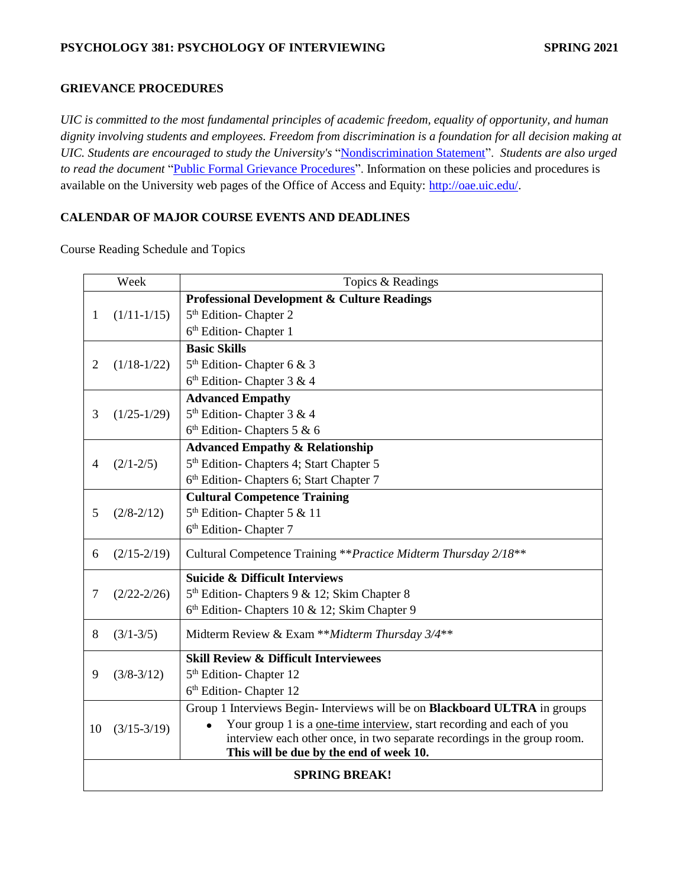### **GRIEVANCE PROCEDURES**

*UIC is committed to the most fundamental principles of academic freedom, equality of opportunity, and human dignity involving students and employees. Freedom from discrimination is a foundation for all decision making at UIC. Students are encouraged to study the University's* ["Nondiscrimination Statement"](http://www.uic.edu/depts/oar/campus_policies/nondiscrimination_statement.html). *Students are also urged to read the document* ["Public Formal Grievance Procedures"](http://www.uic.edu/depts/oar/campus_policies/public_grievance_procedures.html). Information on these policies and procedures is available on the University web pages of the Office of Access and Equity: [http://oae.uic.edu/.](http://oae.uic.edu/)

# **CALENDAR OF MAJOR COURSE EVENTS AND DEADLINES**

Course Reading Schedule and Topics

|                      | Week                                    | Topics & Readings                                                             |  |
|----------------------|-----------------------------------------|-------------------------------------------------------------------------------|--|
|                      |                                         | <b>Professional Development &amp; Culture Readings</b>                        |  |
| 1                    | $(1/11-1/15)$                           | 5 <sup>th</sup> Edition-Chapter 2                                             |  |
|                      |                                         | 6 <sup>th</sup> Edition- Chapter 1                                            |  |
|                      |                                         | <b>Basic Skills</b>                                                           |  |
| $\overline{2}$       | $(1/18-1/22)$                           | $5th$ Edition-Chapter 6 & 3                                                   |  |
|                      |                                         | $6th$ Edition-Chapter 3 & 4                                                   |  |
|                      |                                         | <b>Advanced Empathy</b>                                                       |  |
| 3                    | $(1/25-1/29)$                           | 5 <sup>th</sup> Edition- Chapter 3 & 4                                        |  |
|                      |                                         | $6th$ Edition-Chapters 5 & 6                                                  |  |
|                      |                                         | <b>Advanced Empathy &amp; Relationship</b>                                    |  |
| 4                    | $(2/1 - 2/5)$                           | 5 <sup>th</sup> Edition- Chapters 4; Start Chapter 5                          |  |
|                      |                                         | 6 <sup>th</sup> Edition- Chapters 6; Start Chapter 7                          |  |
|                      |                                         | <b>Cultural Competence Training</b>                                           |  |
| 5                    | $(2/8 - 2/12)$                          | 5 <sup>th</sup> Edition-Chapter 5 & 11                                        |  |
|                      |                                         | 6 <sup>th</sup> Edition- Chapter 7                                            |  |
| 6                    | $(2/15 - 2/19)$                         | Cultural Competence Training ** Practice Midterm Thursday 2/18**              |  |
|                      |                                         | <b>Suicide &amp; Difficult Interviews</b>                                     |  |
| 7                    | $(2/22 - 2/26)$                         | 5 <sup>th</sup> Edition- Chapters 9 & 12; Skim Chapter 8                      |  |
|                      |                                         | 6th Edition-Chapters 10 & 12; Skim Chapter 9                                  |  |
| 8                    | $(3/1 - 3/5)$                           | Midterm Review & Exam **Midterm Thursday 3/4**                                |  |
|                      |                                         | <b>Skill Review &amp; Difficult Interviewees</b>                              |  |
| 9                    | $(3/8-3/12)$                            | 5 <sup>th</sup> Edition-Chapter 12                                            |  |
|                      |                                         | 6 <sup>th</sup> Edition-Chapter 12                                            |  |
|                      |                                         | Group 1 Interviews Begin-Interviews will be on Blackboard ULTRA in groups     |  |
| 10                   | $(3/15-3/19)$                           | Your group 1 is a <u>one-time interview</u> , start recording and each of you |  |
|                      |                                         | interview each other once, in two separate recordings in the group room.      |  |
|                      | This will be due by the end of week 10. |                                                                               |  |
| <b>SPRING BREAK!</b> |                                         |                                                                               |  |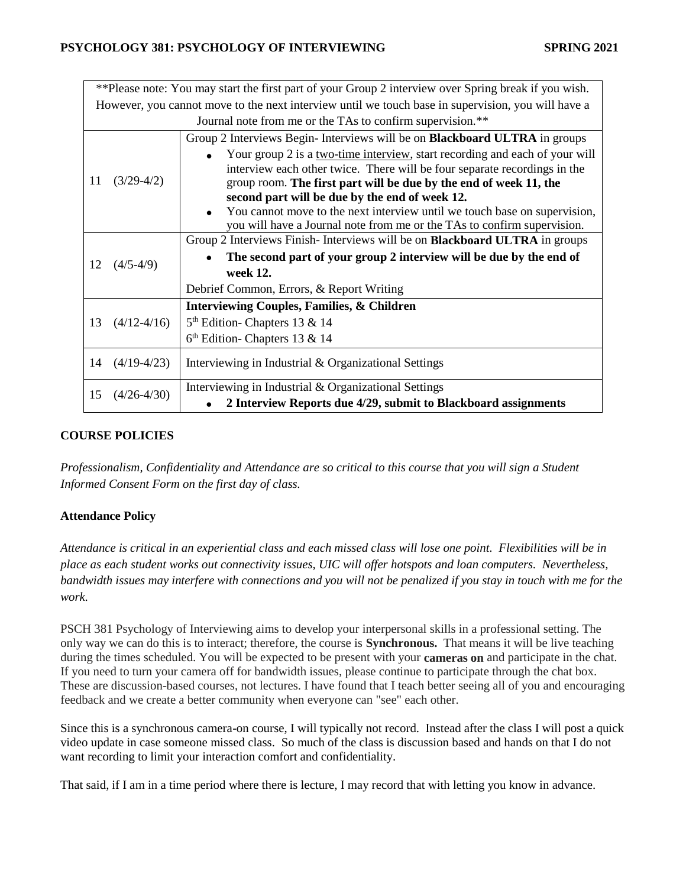| **Please note: You may start the first part of your Group 2 interview over Spring break if you wish. |                 |                                                                                   |  |
|------------------------------------------------------------------------------------------------------|-----------------|-----------------------------------------------------------------------------------|--|
| However, you cannot move to the next interview until we touch base in supervision, you will have a   |                 |                                                                                   |  |
| Journal note from me or the TAs to confirm supervision.**                                            |                 |                                                                                   |  |
| 11                                                                                                   | $(3/29-4/2)$    | Group 2 Interviews Begin-Interviews will be on <b>Blackboard ULTRA</b> in groups  |  |
|                                                                                                      |                 | Your group 2 is a two-time interview, start recording and each of your will       |  |
|                                                                                                      |                 | interview each other twice. There will be four separate recordings in the         |  |
|                                                                                                      |                 | group room. The first part will be due by the end of week 11, the                 |  |
|                                                                                                      |                 | second part will be due by the end of week 12.                                    |  |
|                                                                                                      |                 | You cannot move to the next interview until we touch base on supervision,         |  |
|                                                                                                      |                 | you will have a Journal note from me or the TAs to confirm supervision.           |  |
|                                                                                                      |                 | Group 2 Interviews Finish-Interviews will be on <b>Blackboard ULTRA</b> in groups |  |
|                                                                                                      |                 |                                                                                   |  |
|                                                                                                      |                 | The second part of your group 2 interview will be due by the end of               |  |
| 12                                                                                                   | $(4/5-4/9)$     | week 12.                                                                          |  |
|                                                                                                      |                 | Debrief Common, Errors, & Report Writing                                          |  |
|                                                                                                      |                 | <b>Interviewing Couples, Families, &amp; Children</b>                             |  |
| 13                                                                                                   | $(4/12-4/16)$   | 5 <sup>th</sup> Edition-Chapters 13 & 14                                          |  |
|                                                                                                      |                 | $6th$ Edition-Chapters 13 & 14                                                    |  |
|                                                                                                      |                 |                                                                                   |  |
| 14                                                                                                   | $(4/19-4/23)$   | Interviewing in Industrial & Organizational Settings                              |  |
| 15                                                                                                   | $(4/26 - 4/30)$ | Interviewing in Industrial & Organizational Settings                              |  |

# **COURSE POLICIES**

*Professionalism, Confidentiality and Attendance are so critical to this course that you will sign a Student Informed Consent Form on the first day of class.*

# **Attendance Policy**

*Attendance is critical in an experiential class and each missed class will lose one point. Flexibilities will be in place as each student works out connectivity issues, UIC will offer hotspots and loan computers. Nevertheless, bandwidth issues may interfere with connections and you will not be penalized if you stay in touch with me for the work.*

PSCH 381 Psychology of Interviewing aims to develop your interpersonal skills in a professional setting. The only way we can do this is to interact; therefore, the course is **Synchronous.** That means it will be live teaching during the times scheduled. You will be expected to be present with your **cameras on** and participate in the chat. If you need to turn your camera off for bandwidth issues, please continue to participate through the chat box. These are discussion-based courses, not lectures. I have found that I teach better seeing all of you and encouraging feedback and we create a better community when everyone can "see" each other.

Since this is a synchronous camera-on course, I will typically not record. Instead after the class I will post a quick video update in case someone missed class. So much of the class is discussion based and hands on that I do not want recording to limit your interaction comfort and confidentiality.

That said, if I am in a time period where there is lecture, I may record that with letting you know in advance.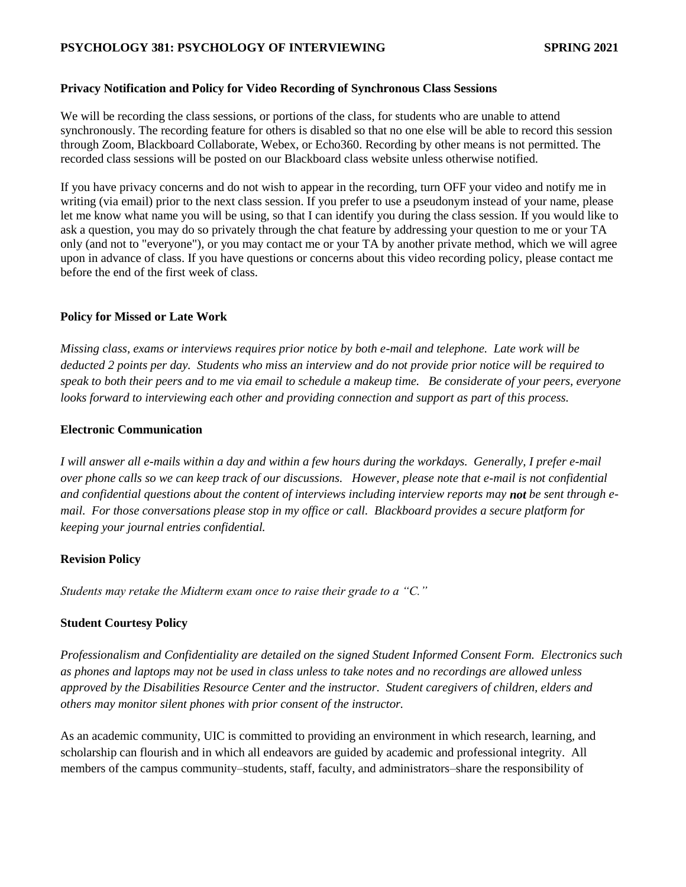#### **Privacy Notification and Policy for Video Recording of Synchronous Class Sessions**

We will be recording the class sessions, or portions of the class, for students who are unable to attend synchronously. The recording feature for others is disabled so that no one else will be able to record this session through Zoom, Blackboard Collaborate, Webex, or Echo360. Recording by other means is not permitted. The recorded class sessions will be posted on our Blackboard class website unless otherwise notified.

If you have privacy concerns and do not wish to appear in the recording, turn OFF your video and notify me in writing (via email) prior to the next class session. If you prefer to use a pseudonym instead of your name, please let me know what name you will be using, so that I can identify you during the class session. If you would like to ask a question, you may do so privately through the chat feature by addressing your question to me or your TA only (and not to "everyone"), or you may contact me or your TA by another private method, which we will agree upon in advance of class. If you have questions or concerns about this video recording policy, please contact me before the end of the first week of class.

#### **Policy for Missed or Late Work**

*Missing class, exams or interviews requires prior notice by both e-mail and telephone. Late work will be deducted 2 points per day. Students who miss an interview and do not provide prior notice will be required to speak to both their peers and to me via email to schedule a makeup time. Be considerate of your peers, everyone looks forward to interviewing each other and providing connection and support as part of this process.* 

#### **Electronic Communication**

*I will answer all e-mails within a day and within a few hours during the workdays. Generally, I prefer e-mail over phone calls so we can keep track of our discussions. However, please note that e-mail is not confidential and confidential questions about the content of interviews including interview reports may not be sent through email. For those conversations please stop in my office or call. Blackboard provides a secure platform for keeping your journal entries confidential.* 

#### **Revision Policy**

*Students may retake the Midterm exam once to raise their grade to a "C."* 

# **Student Courtesy Policy**

*Professionalism and Confidentiality are detailed on the signed Student Informed Consent Form. Electronics such as phones and laptops may not be used in class unless to take notes and no recordings are allowed unless approved by the Disabilities Resource Center and the instructor. Student caregivers of children, elders and others may monitor silent phones with prior consent of the instructor.* 

As an academic community, UIC is committed to providing an environment in which research, learning, and scholarship can flourish and in which all endeavors are guided by academic and professional integrity. All members of the campus community–students, staff, faculty, and administrators–share the responsibility of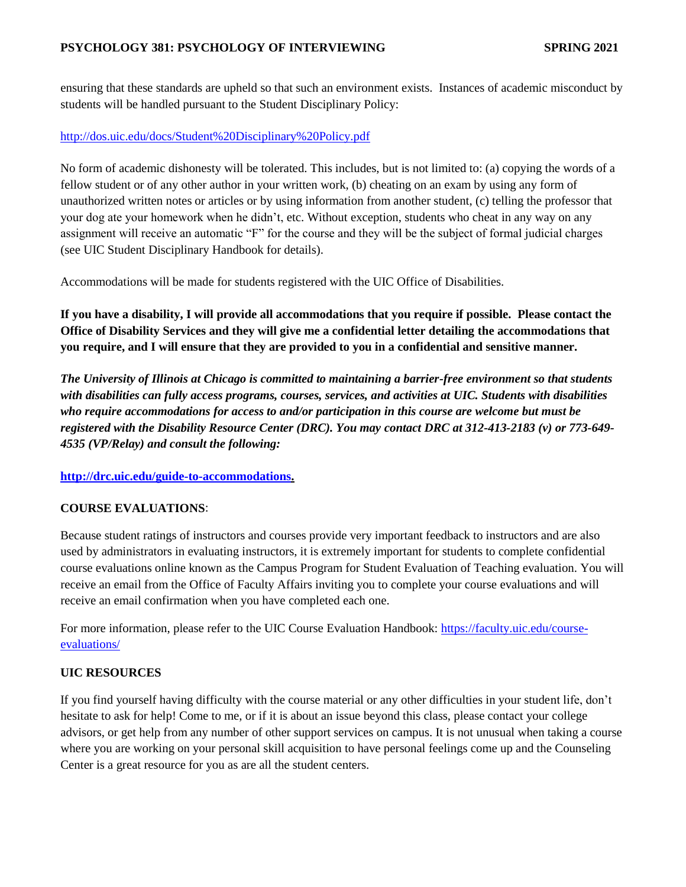ensuring that these standards are upheld so that such an environment exists. Instances of academic misconduct by students will be handled pursuant to the Student Disciplinary Policy:

# <http://dos.uic.edu/docs/Student%20Disciplinary%20Policy.pdf>

No form of academic dishonesty will be tolerated. This includes, but is not limited to: (a) copying the words of a fellow student or of any other author in your written work, (b) cheating on an exam by using any form of unauthorized written notes or articles or by using information from another student, (c) telling the professor that your dog ate your homework when he didn't, etc. Without exception, students who cheat in any way on any assignment will receive an automatic "F" for the course and they will be the subject of formal judicial charges (see UIC Student Disciplinary Handbook for details).

Accommodations will be made for students registered with the UIC Office of Disabilities.

**If you have a disability, I will provide all accommodations that you require if possible. Please contact the Office of Disability Services and they will give me a confidential letter detailing the accommodations that you require, and I will ensure that they are provided to you in a confidential and sensitive manner.** 

*The University of Illinois at Chicago is committed to maintaining a barrier-free environment so that students with disabilities can fully access programs, courses, services, and activities at UIC. Students with disabilities who require accommodations for access to and/or participation in this course are welcome but must be registered with the Disability Resource Center (DRC). You may contact DRC at 312-413-2183 (v) or 773-649- 4535 (VP/Relay) and consult the following:*

**[http://drc.uic.edu/guide-to-accommodations.](http://drc.uic.edu/guide-to-accommodations)** 

# **COURSE EVALUATIONS**:

Because student ratings of instructors and courses provide very important feedback to instructors and are also used by administrators in evaluating instructors, it is extremely important for students to complete confidential course evaluations online known as the Campus Program for Student Evaluation of Teaching evaluation. You will receive an email from the Office of Faculty Affairs inviting you to complete your course evaluations and will receive an email confirmation when you have completed each one.

For more information, please refer to the UIC Course Evaluation Handbook: [https://faculty.uic.edu/course](https://faculty.uic.edu/course-evaluations/)[evaluations/](https://faculty.uic.edu/course-evaluations/)

# **UIC RESOURCES**

If you find yourself having difficulty with the course material or any other difficulties in your student life, don't hesitate to ask for help! Come to me, or if it is about an issue beyond this class, please contact your college advisors, or get help from any number of other support services on campus. It is not unusual when taking a course where you are working on your personal skill acquisition to have personal feelings come up and the Counseling Center is a great resource for you as are all the student centers.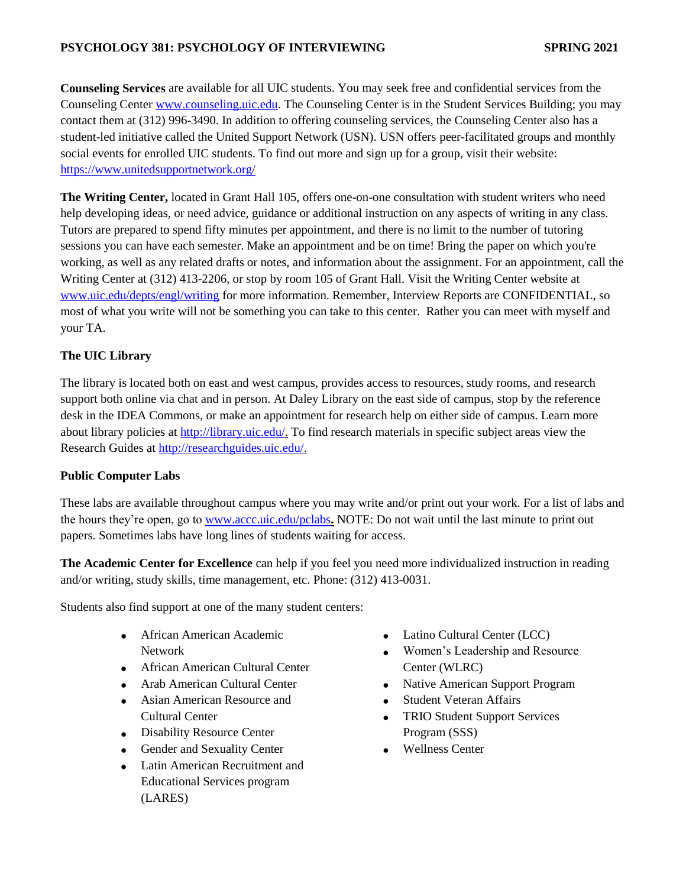**Counseling Services** are available for all UIC students. You may seek free and confidential services from the Counseling Center [www.counseling.uic.edu.](http://www.counseling.uic.edu/) The Counseling Center is in the Student Services Building; you may contact them at (312) 996-3490. In addition to offering counseling services, the Counseling Center also has a student-led initiative called the United Support Network (USN). USN offers peer-facilitated groups and monthly social events for enrolled UIC students. To find out more and sign up for a group, visit their website: <https://www.unitedsupportnetwork.org/>

**The Writing Center,** located in Grant Hall 105, offers one-on-one consultation with student writers who need help developing ideas, or need advice, guidance or additional instruction on any aspects of writing in any class. Tutors are prepared to spend fifty minutes per appointment, and there is no limit to the number of tutoring sessions you can have each semester. Make an appointment and be on time! Bring the paper on which you're working, as well as any related drafts or notes, and information about the assignment. For an appointment, call the Writing Center at (312) 413-2206, or stop by room 105 of Grant Hall. Visit the Writing Center website at [www.uic.edu/depts/engl/writing](http://www.uic.edu/depts/engl/writing) for more information. Remember, Interview Reports are CONFIDENTIAL, so most of what you write will not be something you can take to this center. Rather you can meet with myself and your TA.

# **The UIC Library**

The library is located both on east and west campus, provides access to resources, study rooms, and research support both online via chat and in person. At Daley Library on the east side of campus, stop by the reference desk in the IDEA Commons, or make an appointment for research help on either side of campus. Learn more about library policies at [http://library.uic.edu/.](http://library.uic.edu/) To find research materials in specific subject areas view the Research Guides at [http://researchguides.uic.edu/.](http://researchguides.uic.edu/)

# **Public Computer Labs**

These labs are available throughout campus where you may write and/or print out your work. For a list of labs and the hours they're open, go to [www.accc.uic.edu/pclabs](http://www.accc.uic.edu/pclabs)**.** NOTE: Do not wait until the last minute to print out papers. Sometimes labs have long lines of students waiting for access.

**The Academic Center for Excellence** can help if you feel you need more individualized instruction in reading and/or writing, study skills, time management, etc. Phone: (312) 413-0031.

Students also find support at one of the many student centers:

- African American Academic Network
- **•** African American Cultural Center
- Arab American Cultural Center
- Asian American Resource and Cultural Center
- Disability Resource Center
- Gender and Sexuality Center
- Latin American Recruitment and Educational Services program (LARES)
- Latino Cultural Center (LCC)
- Women's Leadership and Resource Center (WLRC)
- Native American Support Program
- Student Veteran Affairs
- TRIO Student Support Services Program (SSS)
- Wellness Center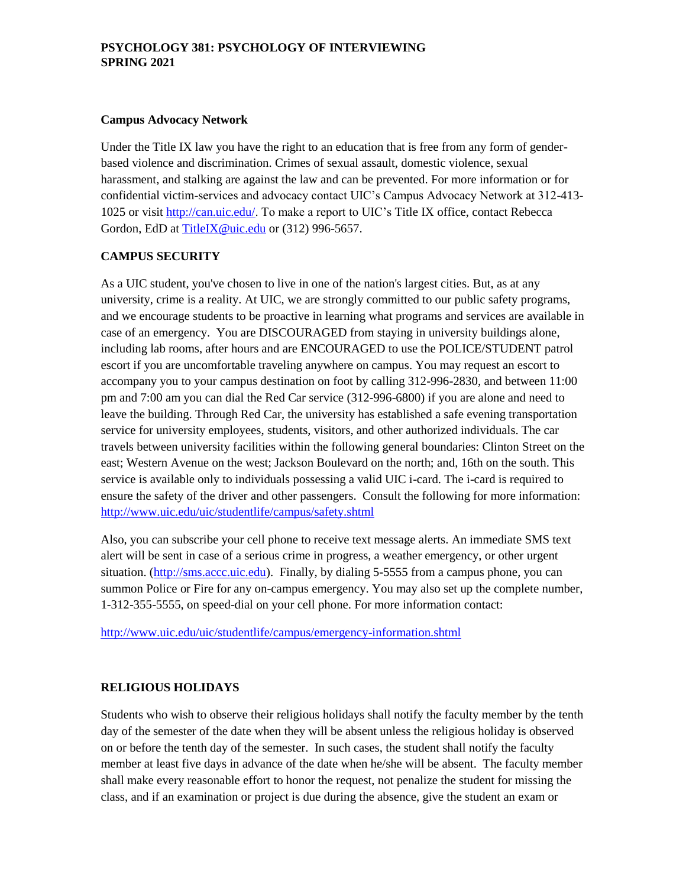#### **Campus Advocacy Network**

Under the Title IX law you have the right to an education that is free from any form of genderbased violence and discrimination. Crimes of sexual assault, domestic violence, sexual harassment, and stalking are against the law and can be prevented. For more information or for confidential victim-services and advocacy contact UIC's Campus Advocacy Network at 312-413- 1025 or visit [http://can.uic.edu/.](http://can.uic.edu/) To make a report to UIC's Title IX office, contact Rebecca Gordon, EdD a[t TitleIX@uic.edu](mailto:TitleIX@uic.edu) or (312) 996-5657.

# **CAMPUS SECURITY**

As a UIC student, you've chosen to live in one of the nation's largest cities. But, as at any university, crime is a reality. At UIC, we are strongly committed to our public safety programs, and we encourage students to be proactive in learning what programs and services are available in case of an emergency. You are DISCOURAGED from staying in university buildings alone, including lab rooms, after hours and are ENCOURAGED to use the POLICE/STUDENT patrol escort if you are uncomfortable traveling anywhere on campus. You may request an escort to accompany you to your campus destination on foot by calling 312-996-2830, and between 11:00 pm and 7:00 am you can dial the Red Car service (312-996-6800) if you are alone and need to leave the building. Through Red Car, the university has established a safe evening transportation service for university employees, students, visitors, and other authorized individuals. The car travels between university facilities within the following general boundaries: Clinton Street on the east; Western Avenue on the west; Jackson Boulevard on the north; and, 16th on the south. This service is available only to individuals possessing a valid UIC i-card. The i-card is required to ensure the safety of the driver and other passengers. Consult the following for more information: <http://www.uic.edu/uic/studentlife/campus/safety.shtml>

Also, you can subscribe your cell phone to receive text message alerts. An immediate SMS text alert will be sent in case of a serious crime in progress, a weather emergency, or other urgent situation. [\(http://sms.accc.uic.edu\)](http://sms.accc.uic.edu/). Finally, by dialing 5-5555 from a campus phone, you can summon Police or Fire for any on-campus emergency. You may also set up the complete number, 1-312-355-5555, on speed-dial on your cell phone. For more information contact:

<http://www.uic.edu/uic/studentlife/campus/emergency-information.shtml>

# **RELIGIOUS HOLIDAYS**

Students who wish to observe their religious holidays shall notify the faculty member by the tenth day of the semester of the date when they will be absent unless the religious holiday is observed on or before the tenth day of the semester. In such cases, the student shall notify the faculty member at least five days in advance of the date when he/she will be absent. The faculty member shall make every reasonable effort to honor the request, not penalize the student for missing the class, and if an examination or project is due during the absence, give the student an exam or